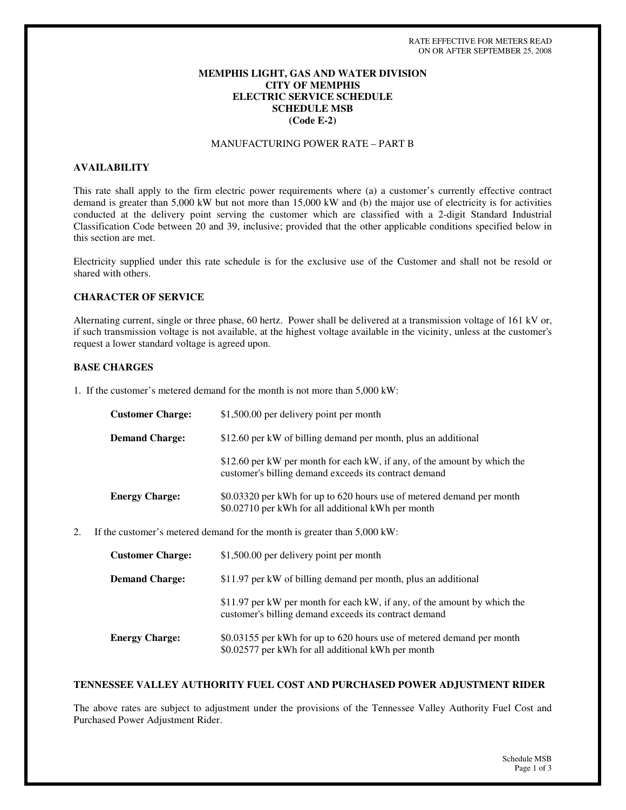### **MEMPHIS LIGHT, GAS AND WATER DIVISION CITY OF MEMPHIS ELECTRIC SERVICE SCHEDULE SCHEDULE MSB (Code E-2)**

# MANUFACTURING POWER RATE – PART B

### **AVAILABILITY**

This rate shall apply to the firm electric power requirements where (a) a customer's currently effective contract demand is greater than 5,000 kW but not more than 15,000 kW and (b) the major use of electricity is for activities conducted at the delivery point serving the customer which are classified with a 2-digit Standard Industrial Classification Code between 20 and 39, inclusive; provided that the other applicable conditions specified below in this section are met.

Electricity supplied under this rate schedule is for the exclusive use of the Customer and shall not be resold or shared with others.

### **CHARACTER OF SERVICE**

Alternating current, single or three phase, 60 hertz. Power shall be delivered at a transmission voltage of 161 kV or, if such transmission voltage is not available, at the highest voltage available in the vicinity, unless at the customer's request a lower standard voltage is agreed upon.

#### **BASE CHARGES**

1. If the customer's metered demand for the month is not more than 5,000 kW:

| <b>Customer Charge:</b> | \$1,500.00 per delivery point per month                                                                                           |
|-------------------------|-----------------------------------------------------------------------------------------------------------------------------------|
| <b>Demand Charge:</b>   | \$12.60 per kW of billing demand per month, plus an additional                                                                    |
|                         | \$12.60 per kW per month for each kW, if any, of the amount by which the<br>customer's billing demand exceeds its contract demand |
| <b>Energy Charge:</b>   | \$0.03320 per kWh for up to 620 hours use of metered demand per month<br>\$0.02710 per kWh for all additional kWh per month       |

2. If the customer's metered demand for the month is greater than 5,000 kW:

| <b>Customer Charge:</b> | \$1,500.00 per delivery point per month                                                                                           |
|-------------------------|-----------------------------------------------------------------------------------------------------------------------------------|
| <b>Demand Charge:</b>   | \$11.97 per kW of billing demand per month, plus an additional                                                                    |
|                         | \$11.97 per kW per month for each kW, if any, of the amount by which the<br>customer's billing demand exceeds its contract demand |
| <b>Energy Charge:</b>   | \$0.03155 per kWh for up to 620 hours use of metered demand per month<br>\$0.02577 per kWh for all additional kWh per month       |

#### **TENNESSEE VALLEY AUTHORITY FUEL COST AND PURCHASED POWER ADJUSTMENT RIDER**

The above rates are subject to adjustment under the provisions of the Tennessee Valley Authority Fuel Cost and Purchased Power Adjustment Rider.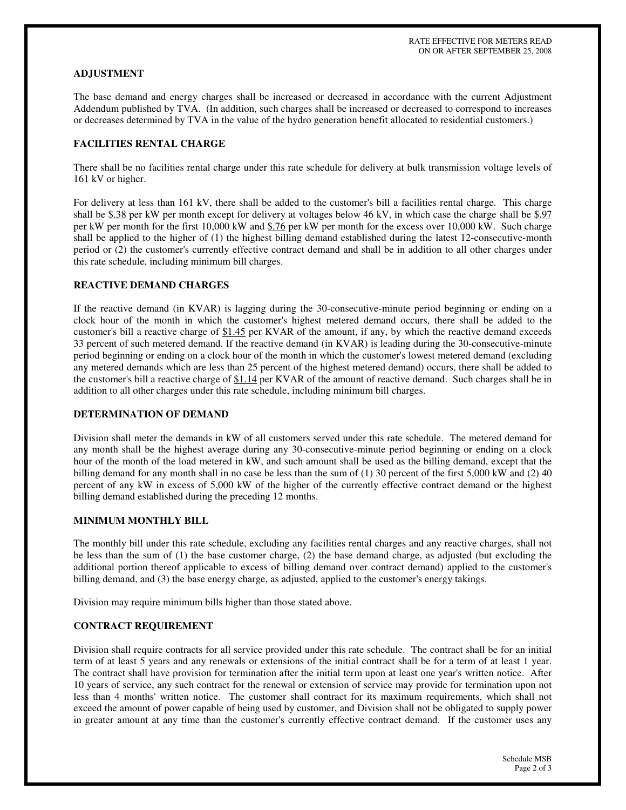### **ADJUSTMENT**

The base demand and energy charges shall be increased or decreased in accordance with the current Adjustment Addendum published by TVA. (In addition, such charges shall be increased or decreased to correspond to increases or decreases determined by TVA in the value of the hydro generation benefit allocated to residential customers.)

### **FACILITIES RENTAL CHARGE**

There shall be no facilities rental charge under this rate schedule for delivery at bulk transmission voltage levels of 161 kV or higher.

For delivery at less than 161 kV, there shall be added to the customer's bill a facilities rental charge. This charge shall be  $$.38$  per kW per month except for delivery at voltages below 46 kV, in which case the charge shall be  $$.97$ per kW per month for the first 10,000 kW and \$.76 per kW per month for the excess over 10,000 kW. Such charge shall be applied to the higher of (1) the highest billing demand established during the latest 12-consecutive-month period or (2) the customer's currently effective contract demand and shall be in addition to all other charges under this rate schedule, including minimum bill charges.

# **REACTIVE DEMAND CHARGES**

If the reactive demand (in KVAR) is lagging during the 30-consecutive-minute period beginning or ending on a clock hour of the month in which the customer's highest metered demand occurs, there shall be added to the customer's bill a reactive charge of \$1.45 per KVAR of the amount, if any, by which the reactive demand exceeds 33 percent of such metered demand. If the reactive demand (in KVAR) is leading during the 30-consecutive-minute period beginning or ending on a clock hour of the month in which the customer's lowest metered demand (excluding any metered demands which are less than 25 percent of the highest metered demand) occurs, there shall be added to the customer's bill a reactive charge of \$1.14 per KVAR of the amount of reactive demand. Such charges shall be in addition to all other charges under this rate schedule, including minimum bill charges.

### **DETERMINATION OF DEMAND**

Division shall meter the demands in kW of all customers served under this rate schedule. The metered demand for any month shall be the highest average during any 30-consecutive-minute period beginning or ending on a clock hour of the month of the load metered in kW, and such amount shall be used as the billing demand, except that the billing demand for any month shall in no case be less than the sum of (1) 30 percent of the first 5,000 kW and (2) 40 percent of any kW in excess of 5,000 kW of the higher of the currently effective contract demand or the highest billing demand established during the preceding 12 months.

# **MINIMUM MONTHLY BILL**

The monthly bill under this rate schedule, excluding any facilities rental charges and any reactive charges, shall not be less than the sum of (1) the base customer charge, (2) the base demand charge, as adjusted (but excluding the additional portion thereof applicable to excess of billing demand over contract demand) applied to the customer's billing demand, and (3) the base energy charge, as adjusted, applied to the customer's energy takings.

Division may require minimum bills higher than those stated above.

#### **CONTRACT REQUIREMENT**

Division shall require contracts for all service provided under this rate schedule. The contract shall be for an initial term of at least 5 years and any renewals or extensions of the initial contract shall be for a term of at least 1 year. The contract shall have provision for termination after the initial term upon at least one year's written notice. After 10 years of service, any such contract for the renewal or extension of service may provide for termination upon not less than 4 months'written notice. The customer shall contract for its maximum requirements, which shall not exceed the amount of power capable of being used by customer, and Division shall not be obligated to supply power in greater amount at any time than the customer's currently effective contract demand. If the customer uses any